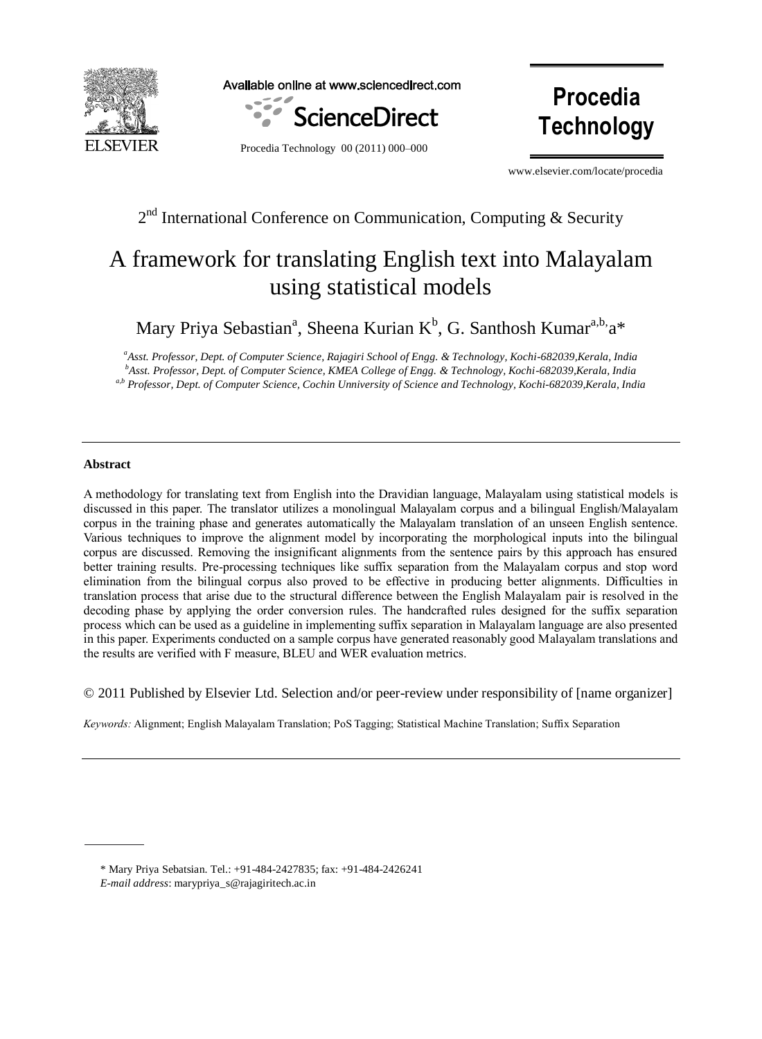

Available online at www.sciencedirect.com



**Procedia Technology**

Procedia Technology 00 (2011) 000–000

www.elsevier.com/locate/procedia

# $2<sup>nd</sup>$  International Conference on Communication, Computing & Security

# A framework for translating English text into Malayalam using statistical models

Mary Priya Sebastian<sup>a</sup>, Sheena Kurian K<sup>b</sup>, G. Santhosh Kumar<sup>a,b,</sup>a\*

*<sup>a</sup>Asst. Professor, Dept. of Computer Science, Rajagiri School of Engg. & Technology, Kochi-682039,Kerala, India <sup>b</sup>Asst. Professor, Dept. of Computer Science, KMEA College of Engg. & Technology, Kochi-682039,Kerala, India a,b Professor, Dept. of Computer Science, Cochin Unniversity of Science and Technology, Kochi-682039,Kerala, India*

# **Abstract**

A methodology for translating text from English into the Dravidian language, Malayalam using statistical models is discussed in this paper. The translator utilizes a monolingual Malayalam corpus and a bilingual English/Malayalam corpus in the training phase and generates automatically the Malayalam translation of an unseen English sentence. Various techniques to improve the alignment model by incorporating the morphological inputs into the bilingual corpus are discussed. Removing the insignificant alignments from the sentence pairs by this approach has ensured better training results. Pre-processing techniques like suffix separation from the Malayalam corpus and stop word elimination from the bilingual corpus also proved to be effective in producing better alignments. Difficulties in translation process that arise due to the structural difference between the English Malayalam pair is resolved in the decoding phase by applying the order conversion rules. The handcrafted rules designed for the suffix separation process which can be used as a guideline in implementing suffix separation in Malayalam language are also presented in this paper. Experiments conducted on a sample corpus have generated reasonably good Malayalam translations and the results are verified with F measure, BLEU and WER evaluation metrics.

© 2011 Published by Elsevier Ltd. Selection and/or peer-review under responsibility of [name organizer]

*Keywords:* Alignment; English Malayalam Translation; PoS Tagging; Statistical Machine Translation; Suffix Separation

*E-mail address*: marypriya\_s@rajagiritech.ac.in

<sup>\*</sup> Mary Priya Sebatsian. Tel.: +91-484-2427835; fax: +91-484-2426241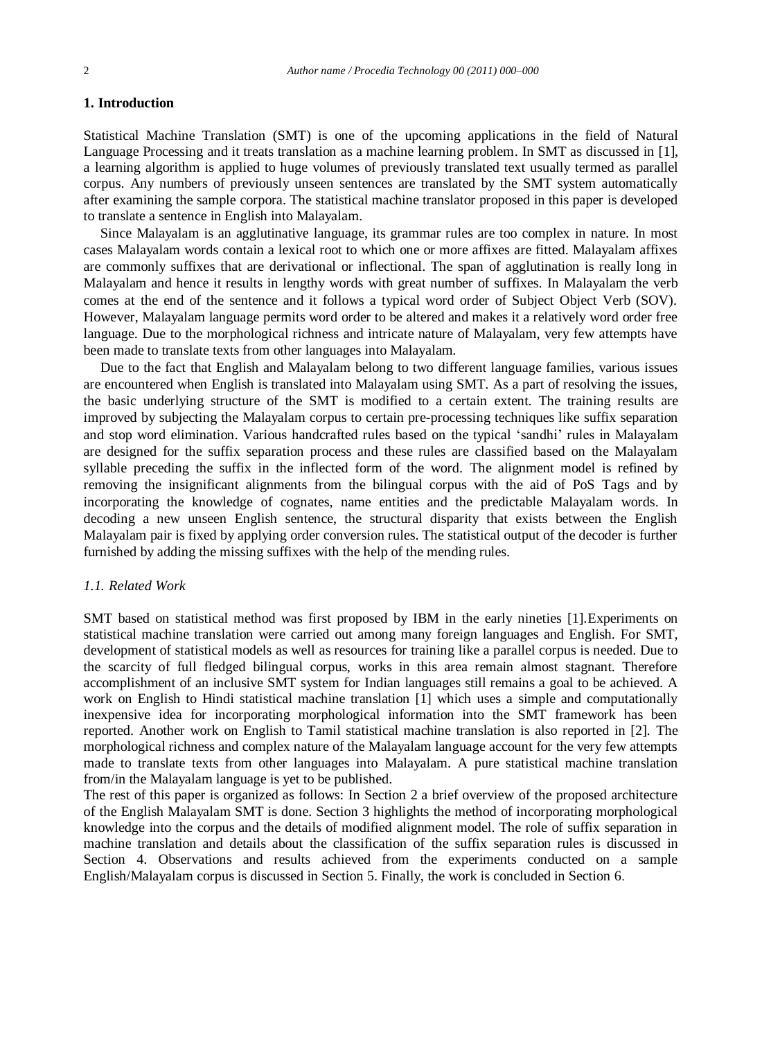# **1. Introduction**

Statistical Machine Translation (SMT) is one of the upcoming applications in the field of Natural Language Processing and it treats translation as a machine learning problem. In SMT as discussed in [1], a learning algorithm is applied to huge volumes of previously translated text usually termed as parallel corpus. Any numbers of previously unseen sentences are translated by the SMT system automatically after examining the sample corpora. The statistical machine translator proposed in this paper is developed to translate a sentence in English into Malayalam.

Since Malayalam is an agglutinative language, its grammar rules are too complex in nature. In most cases Malayalam words contain a lexical root to which one or more affixes are fitted. Malayalam affixes are commonly suffixes that are derivational or inflectional. The span of agglutination is really long in Malayalam and hence it results in lengthy words with great number of suffixes. In Malayalam the verb comes at the end of the sentence and it follows a typical word order of Subject Object Verb (SOV). However, Malayalam language permits word order to be altered and makes it a relatively word order free language. Due to the morphological richness and intricate nature of Malayalam, very few attempts have been made to translate texts from other languages into Malayalam.

Due to the fact that English and Malayalam belong to two different language families, various issues are encountered when English is translated into Malayalam using SMT. As a part of resolving the issues, the basic underlying structure of the SMT is modified to a certain extent. The training results are improved by subjecting the Malayalam corpus to certain pre-processing techniques like suffix separation and stop word elimination. Various handcrafted rules based on the typical "sandhi" rules in Malayalam are designed for the suffix separation process and these rules are classified based on the Malayalam syllable preceding the suffix in the inflected form of the word. The alignment model is refined by removing the insignificant alignments from the bilingual corpus with the aid of PoS Tags and by incorporating the knowledge of cognates, name entities and the predictable Malayalam words. In decoding a new unseen English sentence, the structural disparity that exists between the English Malayalam pair is fixed by applying order conversion rules. The statistical output of the decoder is further furnished by adding the missing suffixes with the help of the mending rules.

## *1.1. Related Work*

SMT based on statistical method was first proposed by IBM in the early nineties [1].Experiments on statistical machine translation were carried out among many foreign languages and English. For SMT, development of statistical models as well as resources for training like a parallel corpus is needed. Due to the scarcity of full fledged bilingual corpus, works in this area remain almost stagnant. Therefore accomplishment of an inclusive SMT system for Indian languages still remains a goal to be achieved. A work on English to Hindi statistical machine translation [1] which uses a simple and computationally inexpensive idea for incorporating morphological information into the SMT framework has been reported. Another work on English to Tamil statistical machine translation is also reported in [2]. The morphological richness and complex nature of the Malayalam language account for the very few attempts made to translate texts from other languages into Malayalam. A pure statistical machine translation from/in the Malayalam language is yet to be published.

The rest of this paper is organized as follows: In Section 2 a brief overview of the proposed architecture of the English Malayalam SMT is done. Section 3 highlights the method of incorporating morphological knowledge into the corpus and the details of modified alignment model. The role of suffix separation in machine translation and details about the classification of the suffix separation rules is discussed in Section 4. Observations and results achieved from the experiments conducted on a sample English/Malayalam corpus is discussed in Section 5. Finally, the work is concluded in Section 6.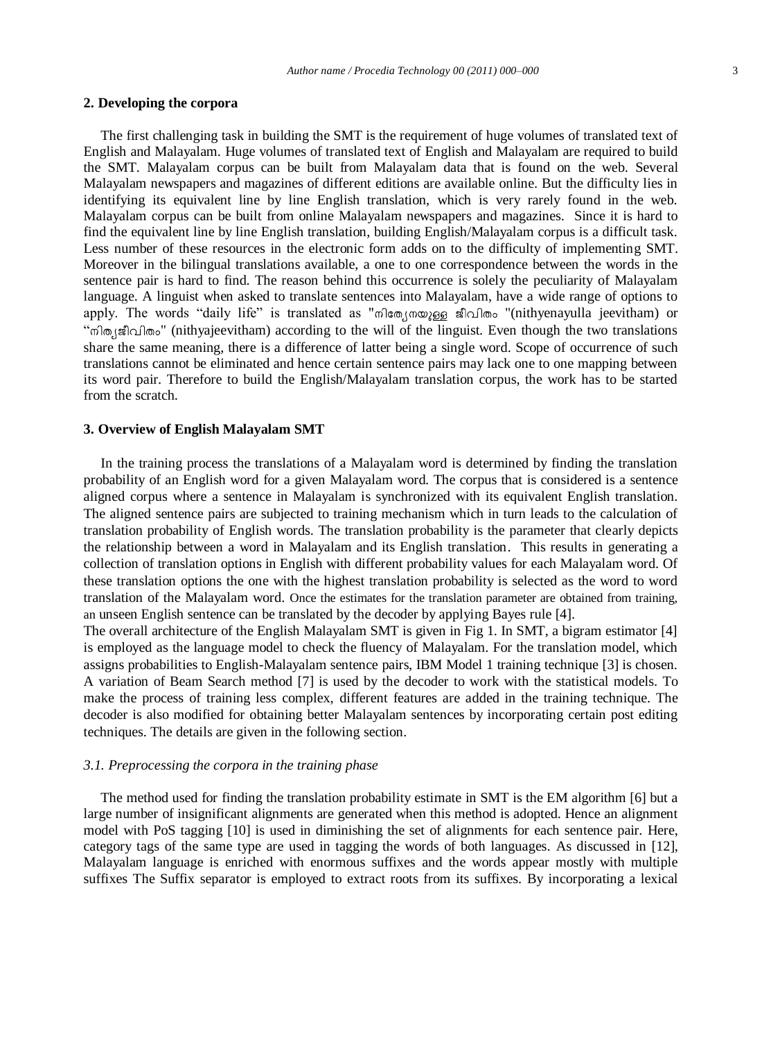#### **2. Developing the corpora**

The first challenging task in building the SMT is the requirement of huge volumes of translated text of English and Malayalam. Huge volumes of translated text of English and Malayalam are required to build the SMT. Malayalam corpus can be built from Malayalam data that is found on the web. Several Malayalam newspapers and magazines of different editions are available online. But the difficulty lies in identifying its equivalent line by line English translation, which is very rarely found in the web. Malayalam corpus can be built from online Malayalam newspapers and magazines. Since it is hard to find the equivalent line by line English translation, building English/Malayalam corpus is a difficult task. Less number of these resources in the electronic form adds on to the difficulty of implementing SMT. Moreover in the bilingual translations available, a one to one correspondence between the words in the sentence pair is hard to find. The reason behind this occurrence is solely the peculiarity of Malayalam language. A linguist when asked to translate sentences into Malayalam, have a wide range of options to apply. The words "daily life" is translated as "mang mange and more "(nithyenayulla jeevitham) or "നിത്യജീവിതം" (nithyajeevitham) according to the will of the linguist. Even though the two translations share the same meaning, there is a difference of latter being a single word. Scope of occurrence of such translations cannot be eliminated and hence certain sentence pairs may lack one to one mapping between its word pair. Therefore to build the English/Malayalam translation corpus, the work has to be started from the scratch.

## **3. Overview of English Malayalam SMT**

In the training process the translations of a Malayalam word is determined by finding the translation probability of an English word for a given Malayalam word. The corpus that is considered is a sentence aligned corpus where a sentence in Malayalam is synchronized with its equivalent English translation. The aligned sentence pairs are subjected to training mechanism which in turn leads to the calculation of translation probability of English words. The translation probability is the parameter that clearly depicts the relationship between a word in Malayalam and its English translation. This results in generating a collection of translation options in English with different probability values for each Malayalam word. Of these translation options the one with the highest translation probability is selected as the word to word translation of the Malayalam word. Once the estimates for the translation parameter are obtained from training, an unseen English sentence can be translated by the decoder by applying Bayes rule [4].

The overall architecture of the English Malayalam SMT is given in Fig 1. In SMT, a bigram estimator [4] is employed as the language model to check the fluency of Malayalam. For the translation model, which assigns probabilities to English-Malayalam sentence pairs, IBM Model 1 training technique [3] is chosen. A variation of Beam Search method [7] is used by the decoder to work with the statistical models. To make the process of training less complex, different features are added in the training technique. The decoder is also modified for obtaining better Malayalam sentences by incorporating certain post editing techniques. The details are given in the following section.

# *3.1. Preprocessing the corpora in the training phase*

The method used for finding the translation probability estimate in SMT is the EM algorithm [6] but a large number of insignificant alignments are generated when this method is adopted. Hence an alignment model with PoS tagging [10] is used in diminishing the set of alignments for each sentence pair. Here, category tags of the same type are used in tagging the words of both languages. As discussed in [12], Malayalam language is enriched with enormous suffixes and the words appear mostly with multiple suffixes The Suffix separator is employed to extract roots from its suffixes. By incorporating a lexical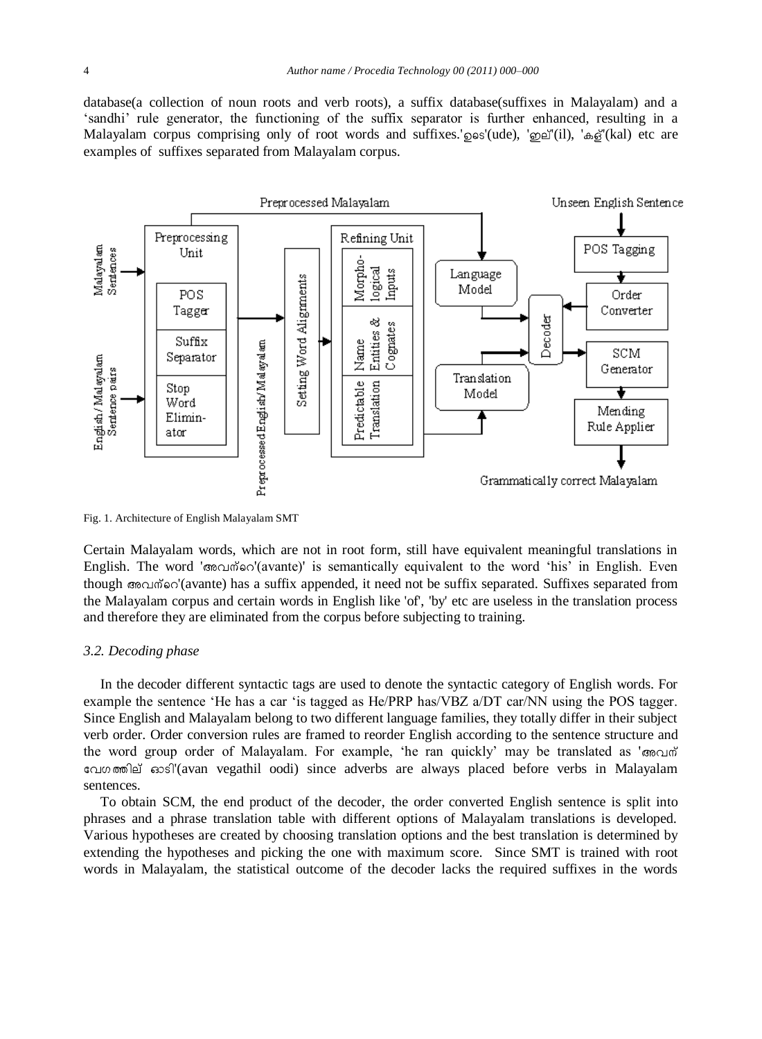database(a collection of noun roots and verb roots), a suffix database(suffixes in Malayalam) and a "sandhi" rule generator, the functioning of the suffix separator is further enhanced, resulting in a Malayalam corpus comprising only of root words and suffixes.'  $\cos'(ude)$ , ' $\cos'(il)$ , ' $\sin(kl)$  etc are examples of suffixes separated from Malayalam corpus.



Fig. 1. Architecture of English Malayalam SMT

Certain Malayalam words, which are not in root form, still have equivalent meaningful translations in English. The word 'അവന്റെ'(avante)' is semantically equivalent to the word 'his' in English. Even though  $\infty$  avante) has a suffix appended, it need not be suffix separated. Suffixes separated from the Malayalam corpus and certain words in English like 'of', 'by' etc are useless in the translation process and therefore they are eliminated from the corpus before subjecting to training.

#### *3.2. Decoding phase*

In the decoder different syntactic tags are used to denote the syntactic category of English words. For example the sentence "He has a car "is tagged as He/PRP has/VBZ a/DT car/NN using the POS tagger. Since English and Malayalam belong to two different language families, they totally differ in their subject verb order. Order conversion rules are framed to reorder English according to the sentence structure and the word group order of Malayalam. For example, 'he ran quickly' may be translated as 'জ $\epsilon$  $\alpha$ '(avan vegathil oodi) since adverbs are always placed before verbs in Malayalam sentences.

To obtain SCM, the end product of the decoder, the order converted English sentence is split into phrases and a phrase translation table with different options of Malayalam translations is developed. Various hypotheses are created by choosing translation options and the best translation is determined by extending the hypotheses and picking the one with maximum score. Since SMT is trained with root words in Malayalam, the statistical outcome of the decoder lacks the required suffixes in the words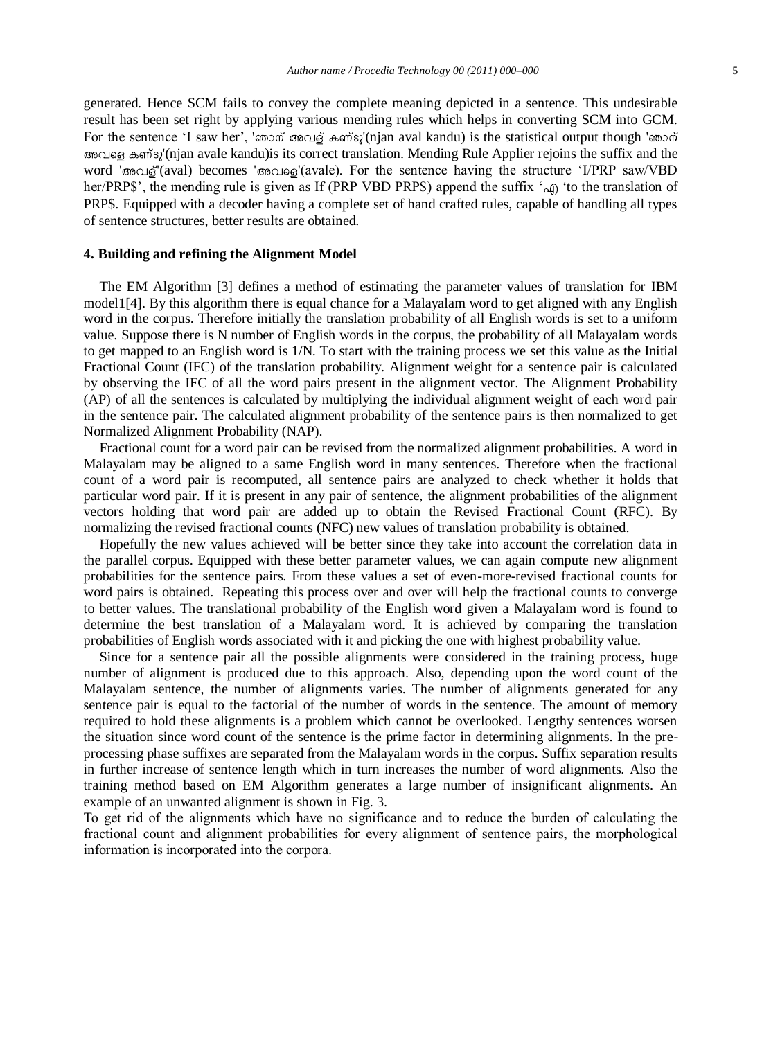generated. Hence SCM fails to convey the complete meaning depicted in a sentence. This undesirable result has been set right by applying various mending rules which helps in converting SCM into GCM. For the sentence 'I saw her', 'ഞാന് അവള് കണ്ടു'(njan aval kandu) is the statistical output though 'ഞാന് '(njan avale kandu)is its correct translation. Mending Rule Applier rejoins the suffix and the word 'അവള്'(aval) becomes 'അവളെ'(avale). For the sentence having the structure 'I/PRP saw/VBD her/PRP\$', the mending rule is given as If (PRP VBD PRP\$) append the suffix ' $\varphi$  'to the translation of PRP\$. Equipped with a decoder having a complete set of hand crafted rules, capable of handling all types of sentence structures, better results are obtained.

#### **4. Building and refining the Alignment Model**

The EM Algorithm [3] defines a method of estimating the parameter values of translation for IBM model1[4]. By this algorithm there is equal chance for a Malayalam word to get aligned with any English word in the corpus. Therefore initially the translation probability of all English words is set to a uniform value. Suppose there is N number of English words in the corpus, the probability of all Malayalam words to get mapped to an English word is 1/N. To start with the training process we set this value as the Initial Fractional Count (IFC) of the translation probability. Alignment weight for a sentence pair is calculated by observing the IFC of all the word pairs present in the alignment vector. The Alignment Probability (AP) of all the sentences is calculated by multiplying the individual alignment weight of each word pair in the sentence pair. The calculated alignment probability of the sentence pairs is then normalized to get Normalized Alignment Probability (NAP).

Fractional count for a word pair can be revised from the normalized alignment probabilities. A word in Malayalam may be aligned to a same English word in many sentences. Therefore when the fractional count of a word pair is recomputed, all sentence pairs are analyzed to check whether it holds that particular word pair. If it is present in any pair of sentence, the alignment probabilities of the alignment vectors holding that word pair are added up to obtain the Revised Fractional Count (RFC). By normalizing the revised fractional counts (NFC) new values of translation probability is obtained.

Hopefully the new values achieved will be better since they take into account the correlation data in the parallel corpus. Equipped with these better parameter values, we can again compute new alignment probabilities for the sentence pairs. From these values a set of even-more-revised fractional counts for word pairs is obtained. Repeating this process over and over will help the fractional counts to converge to better values. The translational probability of the English word given a Malayalam word is found to determine the best translation of a Malayalam word. It is achieved by comparing the translation probabilities of English words associated with it and picking the one with highest probability value.

Since for a sentence pair all the possible alignments were considered in the training process, huge number of alignment is produced due to this approach. Also, depending upon the word count of the Malayalam sentence, the number of alignments varies. The number of alignments generated for any sentence pair is equal to the factorial of the number of words in the sentence. The amount of memory required to hold these alignments is a problem which cannot be overlooked. Lengthy sentences worsen the situation since word count of the sentence is the prime factor in determining alignments. In the preprocessing phase suffixes are separated from the Malayalam words in the corpus. Suffix separation results in further increase of sentence length which in turn increases the number of word alignments. Also the training method based on EM Algorithm generates a large number of insignificant alignments. An example of an unwanted alignment is shown in Fig. 3.

To get rid of the alignments which have no significance and to reduce the burden of calculating the fractional count and alignment probabilities for every alignment of sentence pairs, the morphological information is incorporated into the corpora.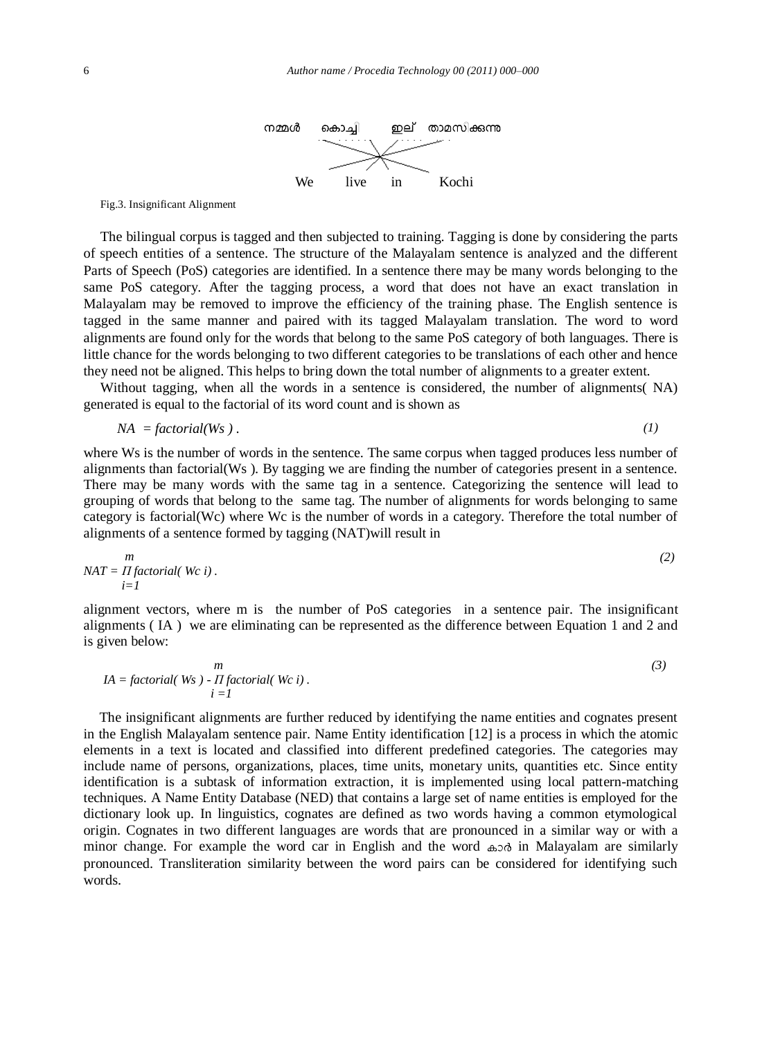

Fig.3. Insignificant Alignment

The bilingual corpus is tagged and then subjected to training. Tagging is done by considering the parts of speech entities of a sentence. The structure of the Malayalam sentence is analyzed and the different Parts of Speech (PoS) categories are identified. In a sentence there may be many words belonging to the same PoS category. After the tagging process, a word that does not have an exact translation in Malayalam may be removed to improve the efficiency of the training phase. The English sentence is tagged in the same manner and paired with its tagged Malayalam translation. The word to word alignments are found only for the words that belong to the same PoS category of both languages. There is little chance for the words belonging to two different categories to be translations of each other and hence they need not be aligned. This helps to bring down the total number of alignments to a greater extent.

Without tagging, when all the words in a sentence is considered, the number of alignments (NA) generated is equal to the factorial of its word count and is shown as

$$
NA = factorial(Ws) \tag{1}
$$

where Ws is the number of words in the sentence. The same corpus when tagged produces less number of alignments than factorial(Ws ). By tagging we are finding the number of categories present in a sentence. There may be many words with the same tag in a sentence. Categorizing the sentence will lead to grouping of words that belong to the same tag. The number of alignments for words belonging to same category is factorial(Wc) where Wc is the number of words in a category. Therefore the total number of alignments of a sentence formed by tagging (NAT)will result in

$$
NAT = \prod_{i=1}^{m} \text{factorial}(Wc \ i). \tag{2}
$$

alignment vectors, where m is the number of PoS categories in a sentence pair. The insignificant alignments ( IA ) we are eliminating can be represented as the difference between Equation 1 and 2 and is given below:

$$
IA = factorial(Ws) - \prod_{i=1}^{m} (3)
$$
\n
$$
i = 1
$$

The insignificant alignments are further reduced by identifying the name entities and cognates present in the English Malayalam sentence pair. Name Entity identification [12] is a process in which the atomic elements in a text is located and classified into different predefined categories. The categories may include name of persons, organizations, places, time units, monetary units, quantities etc. Since entity identification is a subtask of information extraction, it is implemented using local pattern-matching techniques. A Name Entity Database (NED) that contains a large set of name entities is employed for the dictionary look up. In linguistics, cognates are defined as two words having a common etymological origin. Cognates in two different languages are words that are pronounced in a similar way or with a minor change. For example the word car in English and the word  $\omega \otimes \delta$  in Malayalam are similarly pronounced. Transliteration similarity between the word pairs can be considered for identifying such words.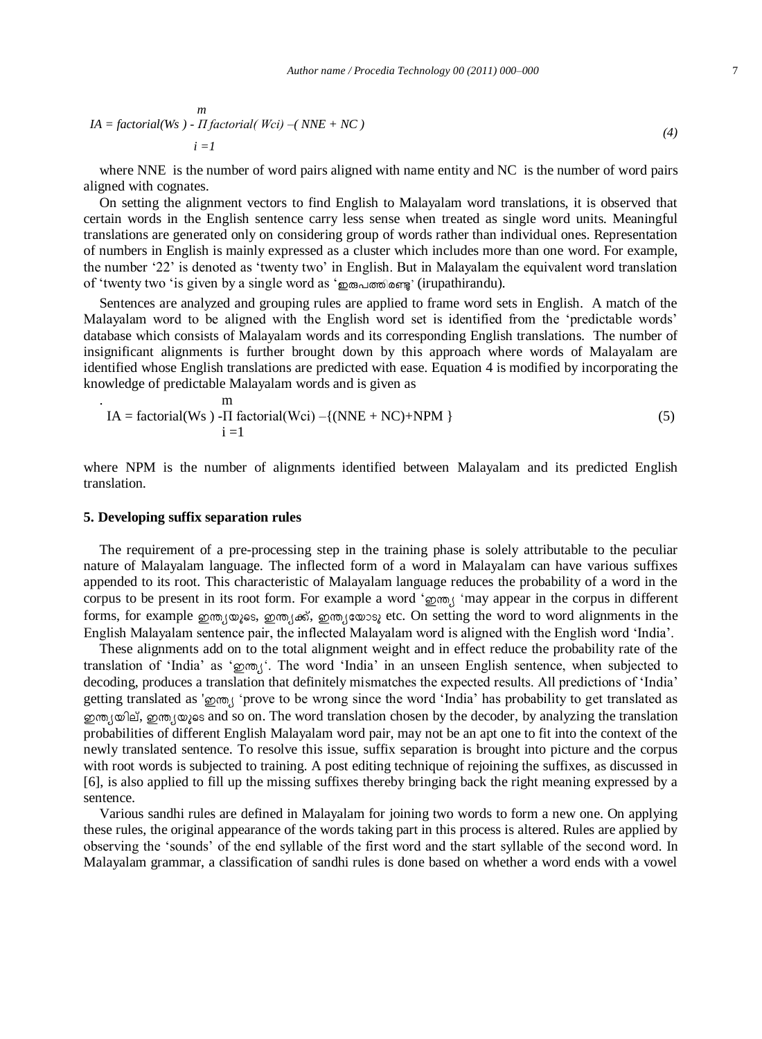*(4)* 

$$
IA = factorial(Ws) - II factorial(Wci) - (NNE + NC)
$$
  

$$
i = l
$$

where NNE is the number of word pairs aligned with name entity and NC is the number of word pairs aligned with cognates.

On setting the alignment vectors to find English to Malayalam word translations, it is observed that certain words in the English sentence carry less sense when treated as single word units. Meaningful translations are generated only on considering group of words rather than individual ones. Representation of numbers in English is mainly expressed as a cluster which includes more than one word. For example, the number "22" is denoted as "twenty two" in English. But in Malayalam the equivalent word translation of 'twenty two 'is given by a single word as ' உக்ஸ்ரீ (irupathirandu).

Sentences are analyzed and grouping rules are applied to frame word sets in English. A match of the Malayalam word to be aligned with the English word set is identified from the "predictable words" database which consists of Malayalam words and its corresponding English translations. The number of insignificant alignments is further brought down by this approach where words of Malayalam are identified whose English translations are predicted with ease. Equation 4 is modified by incorporating the knowledge of predictable Malayalam words and is given as

$$
IA = factorial(Ws) - II factorial(Wci) - \{(NNE + NC)+NPM\}
$$
  
  $i = 1$  (5)

where NPM is the number of alignments identified between Malayalam and its predicted English translation.

#### **5. Developing suffix separation rules**

The requirement of a pre-processing step in the training phase is solely attributable to the peculiar nature of Malayalam language. The inflected form of a word in Malayalam can have various suffixes appended to its root. This characteristic of Malayalam language reduces the probability of a word in the corpus to be present in its root form. For example a word 'goon, 'may appear in the corpus in different forms, for example  $\omega$ m,  $(\omega)$  as,  $\omega$ m,  $(\omega)$  as,  $\omega$ m,  $(\omega)$  as, etc. On setting the word to word alignments in the English Malayalam sentence pair, the inflected Malayalam word is aligned with the English word "India".

These alignments add on to the total alignment weight and in effect reduce the probability rate of the translation of 'India' as ' $\delta m$ <sub>1</sub>'. The word 'India' in an unseen English sentence, when subjected to decoding, produces a translation that definitely mismatches the expected results. All predictions of "India" getting translated as 'gom, 'prove to be wrong since the word 'India' has probability to get translated as ഇന്ത്യയില്, ഇന്ത്യയുടെ and so on. The word translation chosen by the decoder, by analyzing the translation probabilities of different English Malayalam word pair, may not be an apt one to fit into the context of the newly translated sentence. To resolve this issue, suffix separation is brought into picture and the corpus with root words is subjected to training. A post editing technique of rejoining the suffixes, as discussed in [6], is also applied to fill up the missing suffixes thereby bringing back the right meaning expressed by a sentence.

Various sandhi rules are defined in Malayalam for joining two words to form a new one. On applying these rules, the original appearance of the words taking part in this process is altered. Rules are applied by observing the "sounds" of the end syllable of the first word and the start syllable of the second word. In Malayalam grammar, a classification of sandhi rules is done based on whether a word ends with a vowel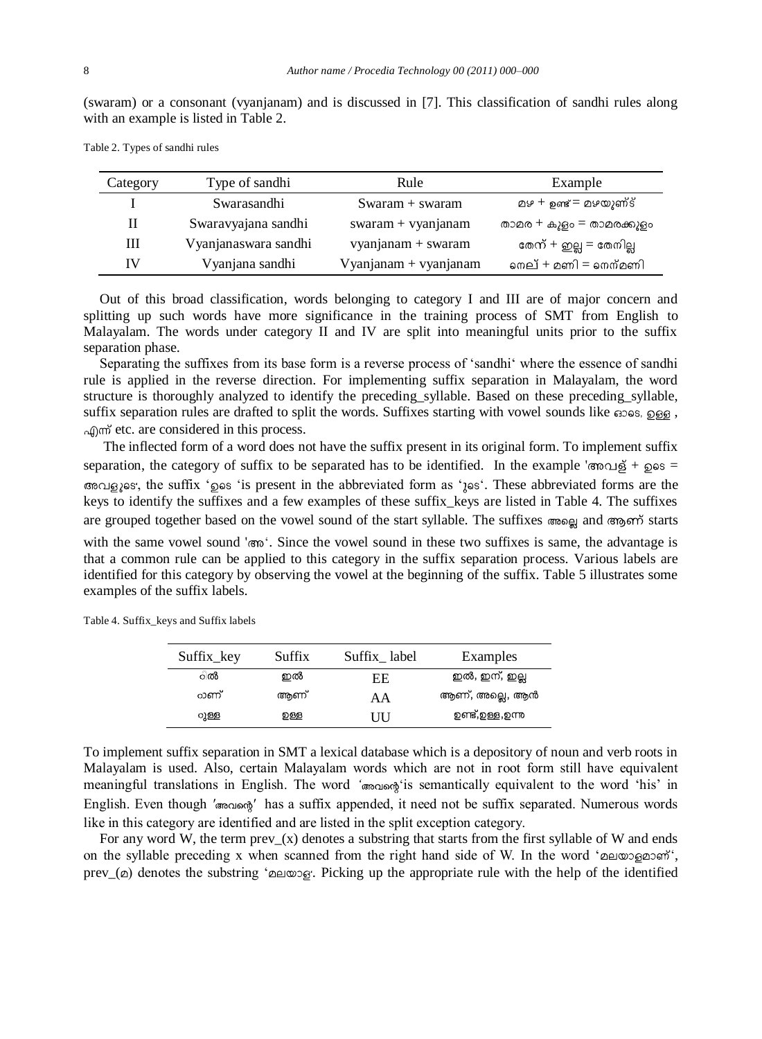(swaram) or a consonant (vyanjanam) and is discussed in [7]. This classification of sandhi rules along with an example is listed in Table 2.

| Category | Type of sandhi       | Rule                  | Example                  |
|----------|----------------------|-----------------------|--------------------------|
|          | Swarasandhi          | $Swaram + swaram$     | മഴ + ഉണ്ട് = മഴയുണ്ട്    |
| П        | Swaravyajana sandhi  | $swaram + vyanjanam$  | താമര + കുളം = താമരക്കുളം |
| Ш        | Vyanjanaswara sandhi | vyanjanam + swaram    | തേന് + ഇല്ല = തേനില്ല    |
| IV       | Vyanjana sandhi      | Vyanjanam + vyanjanam | നെല് + മണി = നെന്മണി     |

Table 2. Types of sandhi rules

Out of this broad classification, words belonging to category I and III are of major concern and splitting up such words have more significance in the training process of SMT from English to Malayalam. The words under category II and IV are split into meaningful units prior to the suffix separation phase.

Separating the suffixes from its base form is a reverse process of "sandhi" where the essence of sandhi rule is applied in the reverse direction. For implementing suffix separation in Malayalam, the word structure is thoroughly analyzed to identify the preceding\_syllable. Based on these preceding\_syllable, suffix separation rules are drafted to split the words. Suffixes starting with vowel sounds like  $\cos \theta$ ,  $\sin \theta$ afform etc. are considered in this process.

The inflected form of a word does not have the suffix present in its original form. To implement suffix separation, the category of suffix to be separated has to be identified. In the example ' $\cos \theta$  +  $\cos \theta$ , the suffix " is present in the abbreviated form as " . These abbreviated forms are the keys to identify the suffixes and a few examples of these suffix\_keys are listed in Table 4. The suffixes are grouped together based on the vowel sound of the start syllable. The suffixes  $\cos \theta$  and  $\cos \theta$  starts

with the same vowel sound ' $\infty$ '. Since the vowel sound in these two suffixes is same, the advantage is that a common rule can be applied to this category in the suffix separation process. Various labels are identified for this category by observing the vowel at the beginning of the suffix. Table 5 illustrates some examples of the suffix labels.

Table 4. Suffix\_keys and Suffix labels

| Suffix_key | Suffix | Suffix label | Examples        |
|------------|--------|--------------|-----------------|
| ിൽ         | ഇൽ     | EE           | ഇൽ, ഇന്, ഇല്ല   |
| റാണ്       | അണ്    | AА           | ആണ്, അല്ലെ, ആൻ  |
| ുള്ള       | றத்த   | LILI         | ഉണ്ട്,ഉള്ള,ഉന്ന |

To implement suffix separation in SMT a lexical database which is a depository of noun and verb roots in Malayalam is used. Also, certain Malayalam words which are not in root form still have equivalent meaningful translations in English. The word '<sub>*'*</sub> *' and interproperties* is semantically equivalent to the word 'his' in English. Even though '*r*  $\alpha$ <sub>'</sub>  $\alpha$ <sup>'</sup> has a suffix appended, it need not be suffix separated. Numerous words like in this category are identified and are listed in the split exception category.

For any word W, the term  $prev(x)$  denotes a substring that starts from the first syllable of W and ends on the syllable preceding x when scanned from the right hand side of W. In the word ' $\alpha$ prev\_( $\varphi$ ) denotes the substring ' $\varphi$  a  $\varphi$ '. Picking up the appropriate rule with the help of the identified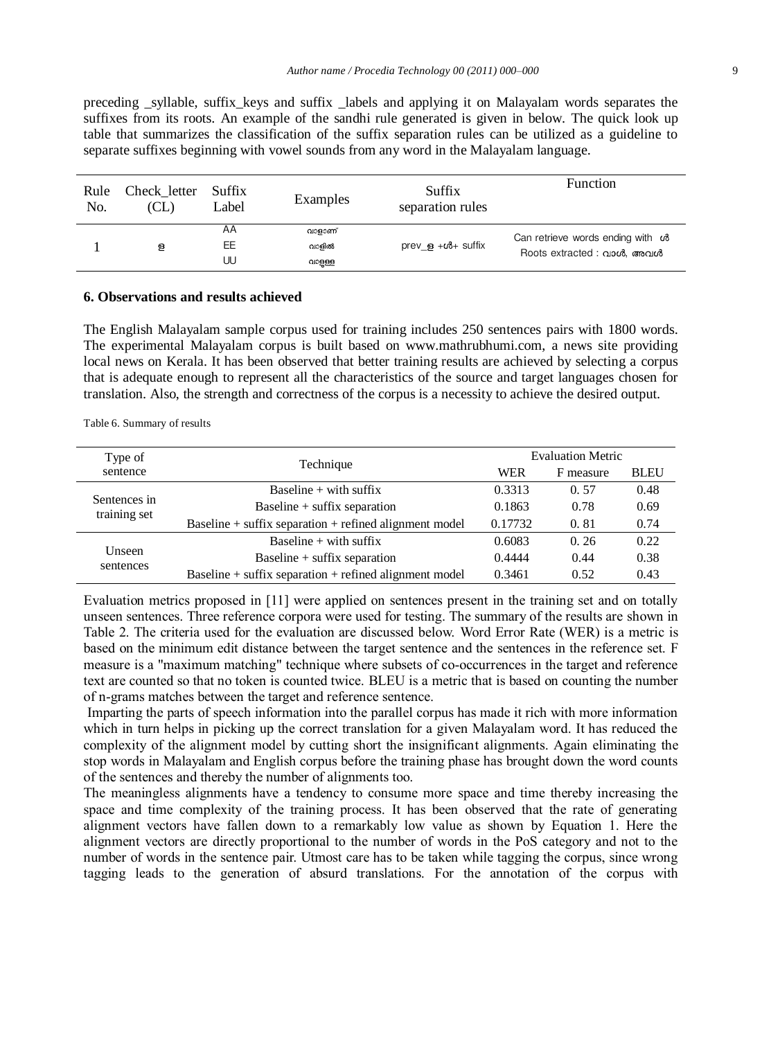preceding \_syllable, suffix\_keys and suffix \_labels and applying it on Malayalam words separates the suffixes from its roots. An example of the sandhi rule generated is given in below. The quick look up table that summarizes the classification of the suffix separation rules can be utilized as a guideline to separate suffixes beginning with vowel sounds from any word in the Malayalam language.

| Rule<br>No. | Check letter<br>(CL) | Suffix<br>Label | Examples                  | Suffix<br>separation rules                     | Function                                                        |
|-------------|----------------------|-----------------|---------------------------|------------------------------------------------|-----------------------------------------------------------------|
|             | ള                    | AA<br>EE<br>UU  | വാളാണ്<br>വാളിൽ<br>വാളള്ള | prev $\epsilon$ + $\omega$ <sup>+</sup> suffix | Can retrieve words ending with co<br>Roots extracted : വാൾ, അവൾ |

#### **6. Observations and results achieved**

The English Malayalam sample corpus used for training includes 250 sentences pairs with 1800 words. The experimental Malayalam corpus is built based on www.mathrubhumi.com, a news site providing local news on Kerala. It has been observed that better training results are achieved by selecting a corpus that is adequate enough to represent all the characteristics of the source and target languages chosen for translation. Also, the strength and correctness of the corpus is a necessity to achieve the desired output.

Table 6. Summary of results

| Type of                      |                                                            | <b>Evaluation Metric</b> |           |             |
|------------------------------|------------------------------------------------------------|--------------------------|-----------|-------------|
| sentence                     | Technique                                                  | WER                      | F measure | <b>BLEU</b> |
| Sentences in<br>training set | Baseline $+$ with suffix                                   | 0.3313                   | 0.57      | 0.48        |
|                              | Baseline $+$ suffix separation                             | 0.1863                   | 0.78      | 0.69        |
|                              | Baseline $+$ suffix separation $+$ refined alignment model | 0.17732                  | 0.81      | 0.74        |
|                              | Baseline $+$ with suffix                                   | 0.6083                   | 0.26      | 0.22        |
| Unseen<br>sentences          | Baseline $+$ suffix separation                             | 0.4444                   | 0.44      | 0.38        |
|                              | Baseline $+$ suffix separation $+$ refined alignment model | 0.3461                   | 0.52      | 0.43        |

Evaluation metrics proposed in [11] were applied on sentences present in the training set and on totally unseen sentences. Three reference corpora were used for testing. The summary of the results are shown in Table 2. The criteria used for the evaluation are discussed below. Word Error Rate (WER) is a metric is based on the minimum edit distance between the target sentence and the sentences in the reference set. F measure is a "maximum matching" technique where subsets of co-occurrences in the target and reference text are counted so that no token is counted twice. BLEU is a metric that is based on counting the number of n-grams matches between the target and reference sentence.

Imparting the parts of speech information into the parallel corpus has made it rich with more information which in turn helps in picking up the correct translation for a given Malayalam word. It has reduced the complexity of the alignment model by cutting short the insignificant alignments. Again eliminating the stop words in Malayalam and English corpus before the training phase has brought down the word counts of the sentences and thereby the number of alignments too.

The meaningless alignments have a tendency to consume more space and time thereby increasing the space and time complexity of the training process. It has been observed that the rate of generating alignment vectors have fallen down to a remarkably low value as shown by Equation 1. Here the alignment vectors are directly proportional to the number of words in the PoS category and not to the number of words in the sentence pair. Utmost care has to be taken while tagging the corpus, since wrong tagging leads to the generation of absurd translations. For the annotation of the corpus with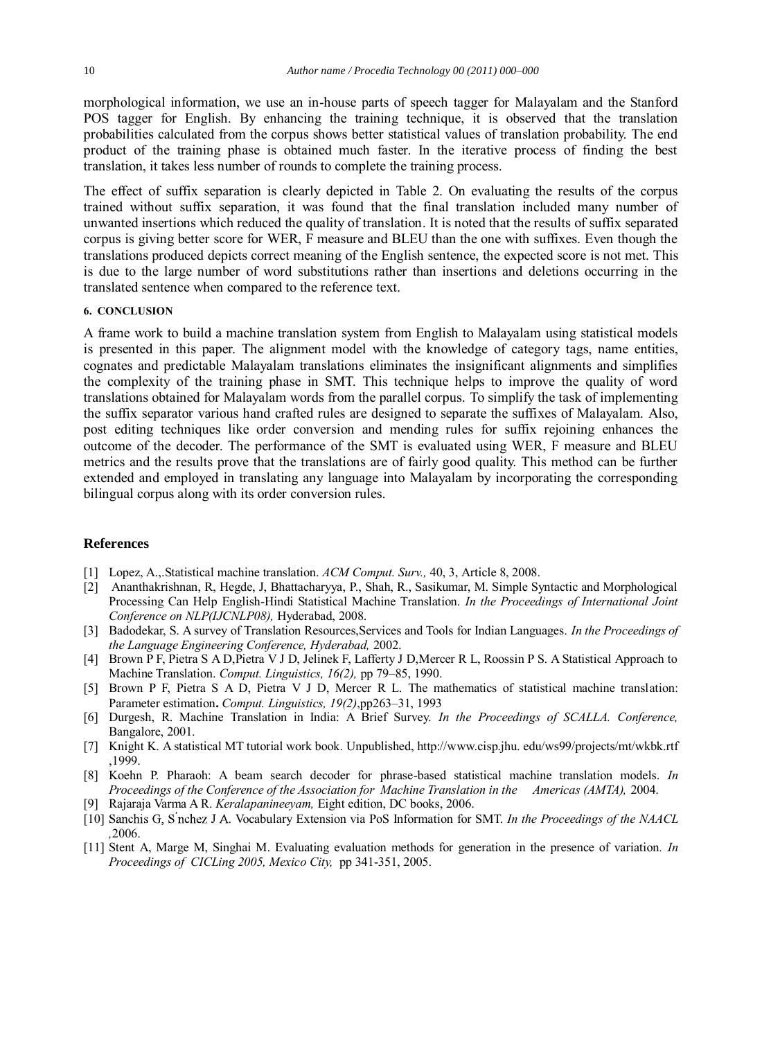morphological information, we use an in-house parts of speech tagger for Malayalam and the Stanford POS tagger for English. By enhancing the training technique, it is observed that the translation probabilities calculated from the corpus shows better statistical values of translation probability. The end product of the training phase is obtained much faster. In the iterative process of finding the best translation, it takes less number of rounds to complete the training process.

The effect of suffix separation is clearly depicted in Table 2. On evaluating the results of the corpus trained without suffix separation, it was found that the final translation included many number of unwanted insertions which reduced the quality of translation. It is noted that the results of suffix separated corpus is giving better score for WER, F measure and BLEU than the one with suffixes. Even though the translations produced depicts correct meaning of the English sentence, the expected score is not met. This is due to the large number of word substitutions rather than insertions and deletions occurring in the translated sentence when compared to the reference text.

#### **6. CONCLUSION**

A frame work to build a machine translation system from English to Malayalam using statistical models is presented in this paper. The alignment model with the knowledge of category tags, name entities, cognates and predictable Malayalam translations eliminates the insignificant alignments and simplifies the complexity of the training phase in SMT. This technique helps to improve the quality of word translations obtained for Malayalam words from the parallel corpus. To simplify the task of implementing the suffix separator various hand crafted rules are designed to separate the suffixes of Malayalam. Also, post editing techniques like order conversion and mending rules for suffix rejoining enhances the outcome of the decoder. The performance of the SMT is evaluated using WER, F measure and BLEU metrics and the results prove that the translations are of fairly good quality. This method can be further extended and employed in translating any language into Malayalam by incorporating the corresponding bilingual corpus along with its order conversion rules.

# **References**

- [1] Lopez, A.,.Statistical machine translation. *ACM Comput. Surv.,* 40, 3, Article 8, 2008.
- [2] Ananthakrishnan, R, Hegde, J, Bhattacharyya, P., Shah, R., Sasikumar, M. Simple Syntactic and Morphological Processing Can Help English-Hindi Statistical Machine Translation. *In the Proceedings of International Joint Conference on NLP(IJCNLP08),* Hyderabad, 2008.
- [3] Badodekar, S. A survey of Translation Resources,Services and Tools for Indian Languages. *In the Proceedings of the Language Engineering Conference, Hyderabad,* 2002.
- [4] Brown P F, Pietra S A D,Pietra V J D, Jelinek F, Lafferty J D,Mercer R L, Roossin P S. A Statistical Approach to Machine Translation. *Comput. Linguistics, 16(2),* pp 79–85, 1990.
- [5] Brown P F, Pietra S A D, Pietra V J D, Mercer R L. The mathematics of statistical machine translation: Parameter estimation**.** *Comput. Linguistics, 19(2)*,pp263–31, 1993
- [6] Durgesh, R. Machine Translation in India: A Brief Survey. *In the Proceedings of SCALLA. Conference,*  Bangalore, 2001.
- [7] Knight K. A statistical MT tutorial work book. Unpublished, http://www.cisp.jhu. edu/ws99/projects/mt/wkbk.rtf ,1999.
- [8] Koehn P. Pharaoh: A beam search decoder for phrase-based statistical machine translation models. *In Proceedings of the Conference of the Association for Machine Translation in the Americas (AMTA),* 2004.
- [9] Rajaraja Varma A R. *Keralapanineeyam,* Eight edition, DC books, 2006.
- [10] Sanchis G, S<sup>'</sup>nchez J A. Vocabulary Extension via PoS Information for SMT. *In the Proceedings of the NAACL ,*2006.
- [11] Stent A, Marge M, Singhai M. Evaluating evaluation methods for generation in the presence of variation*. In Proceedings of CICLing 2005, Mexico City,* pp 341-351, 2005.